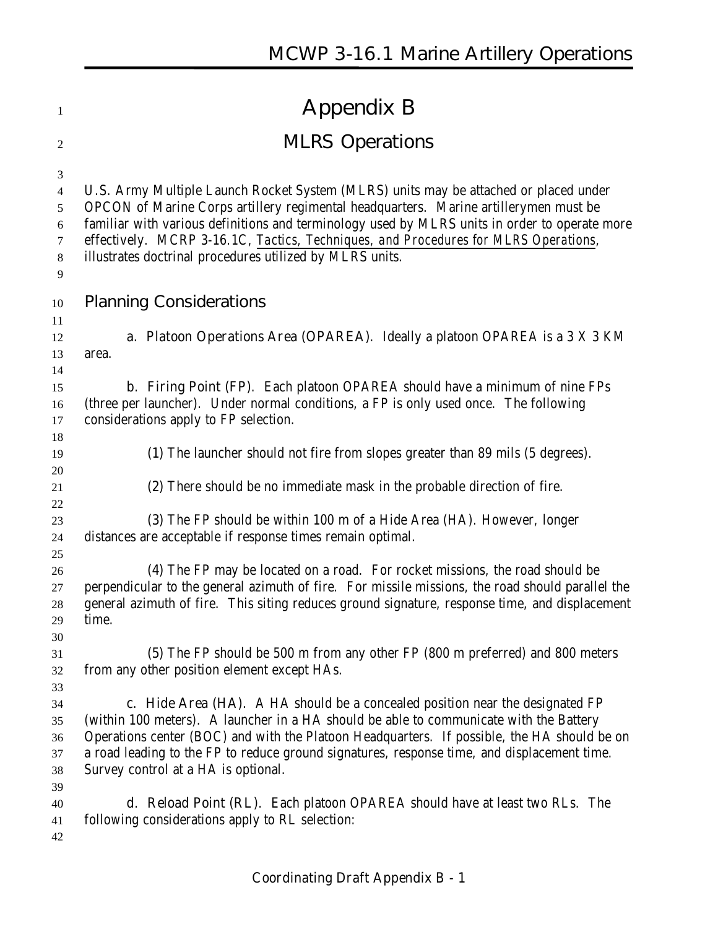| 1                                                                 | <b>Appendix B</b>                                                                                                                                                                                                                                                                                                                                                                                                                |
|-------------------------------------------------------------------|----------------------------------------------------------------------------------------------------------------------------------------------------------------------------------------------------------------------------------------------------------------------------------------------------------------------------------------------------------------------------------------------------------------------------------|
| 2                                                                 | <b>MLRS Operations</b>                                                                                                                                                                                                                                                                                                                                                                                                           |
| 3<br>$\overline{4}$<br>5<br>$\boldsymbol{6}$<br>7<br>$\,8\,$<br>9 | U.S. Army Multiple Launch Rocket System (MLRS) units may be attached or placed under<br>OPCON of Marine Corps artillery regimental headquarters. Marine artillerymen must be<br>familiar with various definitions and terminology used by MLRS units in order to operate more<br>effectively. MCRP 3-16.1C, Tactics, Techniques, and Procedures for MLRS Operations,<br>illustrates doctrinal procedures utilized by MLRS units. |
| 10                                                                | <b>Planning Considerations</b>                                                                                                                                                                                                                                                                                                                                                                                                   |
| 11<br>12<br>13<br>14                                              | <b>a. Platoon Operations Area (OPAREA)</b> . Ideally a platoon OPAREA is a 3 X 3 KM<br>area.                                                                                                                                                                                                                                                                                                                                     |
| 15<br>16<br>17<br>18                                              | <b>b. Firing Point (FP).</b> Each platoon OPAREA should have a minimum of nine FPs<br>(three per launcher). Under normal conditions, a FP is only used once. The following<br>considerations apply to FP selection.                                                                                                                                                                                                              |
| 19                                                                | (1) The launcher should not fire from slopes greater than 89 mils (5 degrees).                                                                                                                                                                                                                                                                                                                                                   |
| 20<br>21                                                          | (2) There should be no immediate mask in the probable direction of fire.                                                                                                                                                                                                                                                                                                                                                         |
| 22<br>23<br>24                                                    | (3) The FP should be within 100 m of a Hide Area (HA). However, longer<br>distances are acceptable if response times remain optimal.                                                                                                                                                                                                                                                                                             |
| 25<br>26<br>27<br>28<br>29                                        | (4) The FP may be located on a road. For rocket missions, the road should be<br>perpendicular to the general azimuth of fire. For missile missions, the road should parallel the<br>general azimuth of fire. This siting reduces ground signature, response time, and displacement<br>time.                                                                                                                                      |
| 30<br>31<br>32                                                    | (5) The FP should be 500 m from any other FP (800 m preferred) and 800 meters<br>from any other position element except HAs.                                                                                                                                                                                                                                                                                                     |
| 33<br>34<br>35<br>36<br>37<br>38                                  | c. Hide Area (HA). A HA should be a concealed position near the designated FP<br>(within 100 meters). A launcher in a HA should be able to communicate with the Battery<br>Operations center (BOC) and with the Platoon Headquarters. If possible, the HA should be on<br>a road leading to the FP to reduce ground signatures, response time, and displacement time.<br>Survey control at a HA is optional.                     |
| 39<br>40<br>41<br>42                                              | <b>d. Reload Point (RL).</b> Each platoon OPAREA should have at least two RLs. The<br>following considerations apply to RL selection:                                                                                                                                                                                                                                                                                            |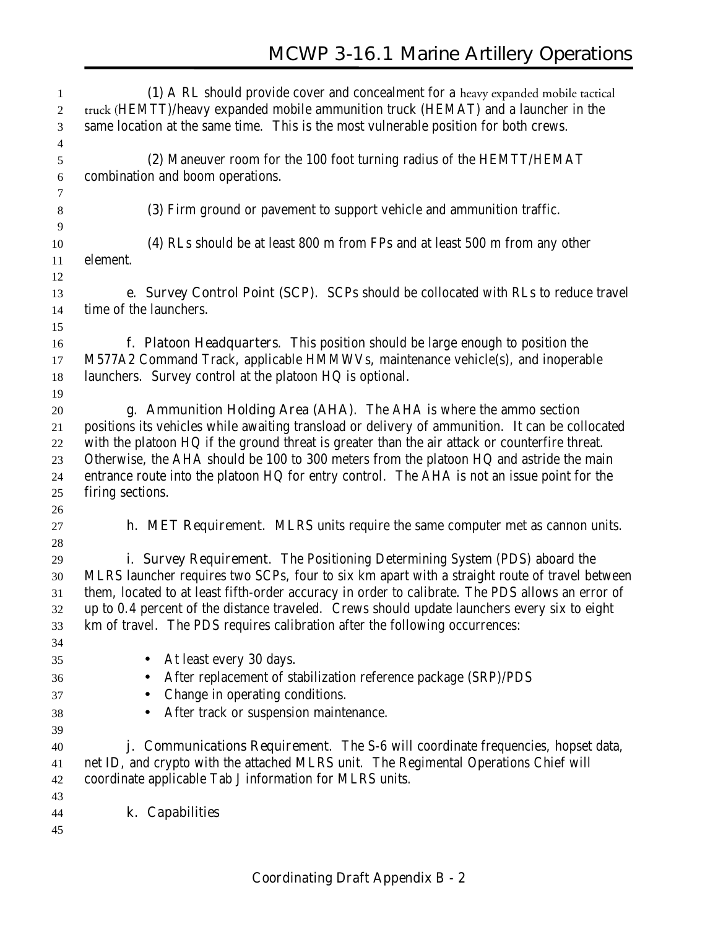| 1                       | (1) A RL should provide cover and concealment for a heavy expanded mobile tactical               |
|-------------------------|--------------------------------------------------------------------------------------------------|
| $\mathfrak{2}$          | truck (HEMTT)/heavy expanded mobile ammunition truck (HEMAT) and a launcher in the               |
| 3                       | same location at the same time. This is the most vulnerable position for both crews.             |
| $\overline{\mathbf{4}}$ |                                                                                                  |
| $\sqrt{5}$              | (2) Maneuver room for the 100 foot turning radius of the HEMTT/HEMAT                             |
| 6                       | combination and boom operations.                                                                 |
| 7                       |                                                                                                  |
| $\,8\,$                 | (3) Firm ground or pavement to support vehicle and ammunition traffic.                           |
| 9                       |                                                                                                  |
| 10                      | (4) RLs should be at least 800 m from FPs and at least 500 m from any other                      |
| 11                      | element.                                                                                         |
| 12                      |                                                                                                  |
| 13                      | e. Survey Control Point (SCP). SCPs should be collocated with RLs to reduce travel               |
| 14                      | time of the launchers.                                                                           |
| 15                      |                                                                                                  |
| 16                      | f. Platoon Headquarters. This position should be large enough to position the                    |
| 17                      | M577A2 Command Track, applicable HMMWVs, maintenance vehicle(s), and inoperable                  |
| 18                      | launchers. Survey control at the platoon HQ is optional.                                         |
| 19                      |                                                                                                  |
| 20                      | g. Ammunition Holding Area (AHA). The AHA is where the ammo section                              |
| 21                      | positions its vehicles while awaiting transload or delivery of ammunition. It can be collocated  |
| 22                      | with the platoon HQ if the ground threat is greater than the air attack or counterfire threat.   |
| 23                      | Otherwise, the AHA should be 100 to 300 meters from the platoon HQ and astride the main          |
| 24                      | entrance route into the platoon HQ for entry control. The AHA is not an issue point for the      |
| 25                      | firing sections.                                                                                 |
| 26                      |                                                                                                  |
| 27                      | <b>h. MET Requirement.</b> MLRS units require the same computer met as cannon units.             |
| 28                      |                                                                                                  |
| 29                      | i. Survey Requirement. The Positioning Determining System (PDS) aboard the                       |
| 30                      | MLRS launcher requires two SCPs, four to six km apart with a straight route of travel between    |
| 31                      | them, located to at least fifth-order accuracy in order to calibrate. The PDS allows an error of |
| 32                      | up to 0.4 percent of the distance traveled. Crews should update launchers every six to eight     |
| 33                      | km of travel. The PDS requires calibration after the following occurrences:                      |
| 34                      |                                                                                                  |
| 35                      | At least every 30 days.<br>$\bullet$                                                             |
| 36                      | After replacement of stabilization reference package (SRP)/PDS                                   |
| 37                      | Change in operating conditions.<br>$\bullet$                                                     |
|                         | After track or suspension maintenance.                                                           |
| 38                      |                                                                                                  |
| 39<br>40                | <b>j. Communications Requirement</b> . The S-6 will coordinate frequencies, hopset data,         |
|                         | net ID, and crypto with the attached MLRS unit. The Regimental Operations Chief will             |
| 41<br>42                | coordinate applicable Tab J information for MLRS units.                                          |
| 43                      |                                                                                                  |
|                         | k. Capabilities                                                                                  |
| 44                      |                                                                                                  |
| 45                      |                                                                                                  |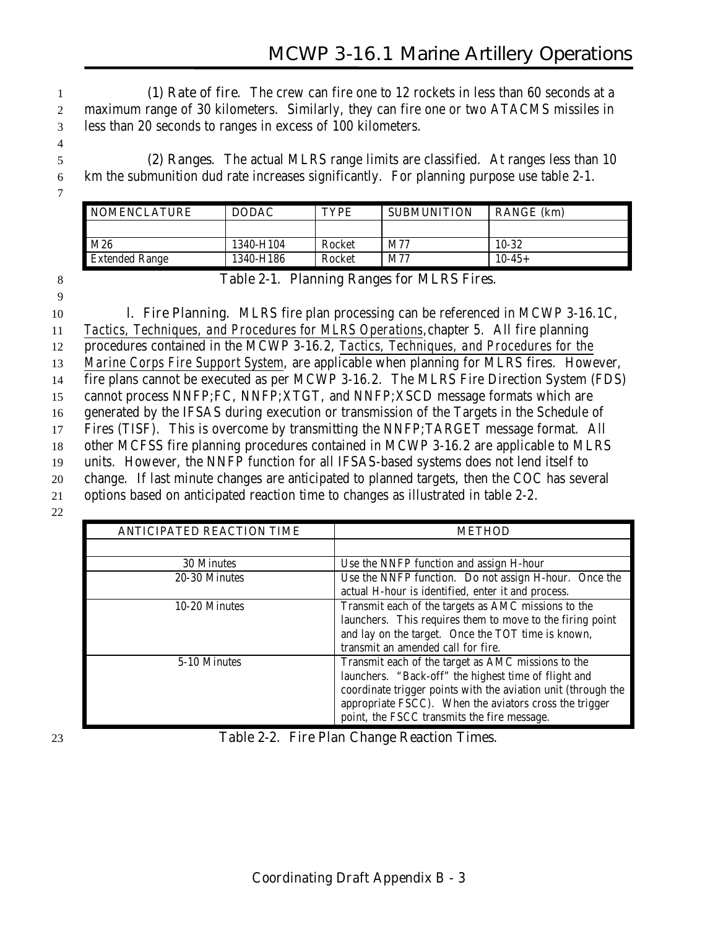1 **(1) Rate of fire**. The crew can fire one to 12 rockets in less than 60 seconds at a 2 maximum range of 30 kilometers. Similarly, they can fire one or two ATACMS missiles in 3 less than 20 seconds to ranges in excess of 100 kilometers.

5 **(2) Ranges**. The actual MLRS range limits are classified. At ranges less than 10 6 km the submunition dud rate increases significantly. For planning purpose use table 2-1.

| <b>NOMENCLATURE</b>   | <b>DODAC</b> | <b>TYPE</b> | <b>SUBMUNITION</b> | <b>RANGE</b> (km) |
|-----------------------|--------------|-------------|--------------------|-------------------|
|                       |              |             |                    |                   |
| M26                   | 1340-H104    | Rocket      | M77                | $10 - 32$         |
| <b>Extended Range</b> | 1340-H186    | Rocket      | M77                | $10-45+$          |

4

7

## 8 **Table 2-1. Planning Ranges for MLRS Fires.**

9

 **l. Fire Planning**. MLRS fire plan processing can be referenced in MCWP 3-16.1C, *Tactics, Techniques, and Procedures for MLRS Operations*,chapter 5. All fire planning procedures contained in the MCWP 3-16.2, *Tactics, Techniques, and Procedures for the Marine Corps Fire Support System*, are applicable when planning for MLRS fires. However, fire plans cannot be executed as per MCWP 3-16.2. The MLRS Fire Direction System (FDS) cannot process NNFP;FC, NNFP;XTGT, and NNFP;XSCD message formats which are generated by the IFSAS during execution or transmission of the Targets in the Schedule of Fires (TISF). This is overcome by transmitting the NNFP;TARGET message format. All other MCFSS fire planning procedures contained in MCWP 3-16.2 are applicable to MLRS units. However, the NNFP function for all IFSAS-based systems does not lend itself to change. If last minute changes are anticipated to planned targets, then the COC has several options based on anticipated reaction time to changes as illustrated in table 2-2.

22

| <b>ANTICIPATED REACTION TIME</b> | <b>METHOD</b>                                                                                                                                                                                                                                                                        |
|----------------------------------|--------------------------------------------------------------------------------------------------------------------------------------------------------------------------------------------------------------------------------------------------------------------------------------|
|                                  |                                                                                                                                                                                                                                                                                      |
| 30 Minutes                       | Use the NNFP function and assign H-hour                                                                                                                                                                                                                                              |
| 20-30 Minutes                    | Use the NNFP function. Do not assign H-hour. Once the<br>actual H-hour is identified, enter it and process.                                                                                                                                                                          |
| 10-20 Minutes                    | Transmit each of the targets as AMC missions to the<br>launchers. This requires them to move to the firing point<br>and lay on the target. Once the TOT time is known,<br>transmit an amended call for fire.                                                                         |
| 5-10 Minutes                     | Transmit each of the target as AMC missions to the<br>launchers. "Back-off" the highest time of flight and<br>coordinate trigger points with the aviation unit (through the<br>appropriate FSCC). When the aviators cross the trigger<br>point, the FSCC transmits the fire message. |

23 **Table 2-2. Fire Plan Change Reaction Times.**